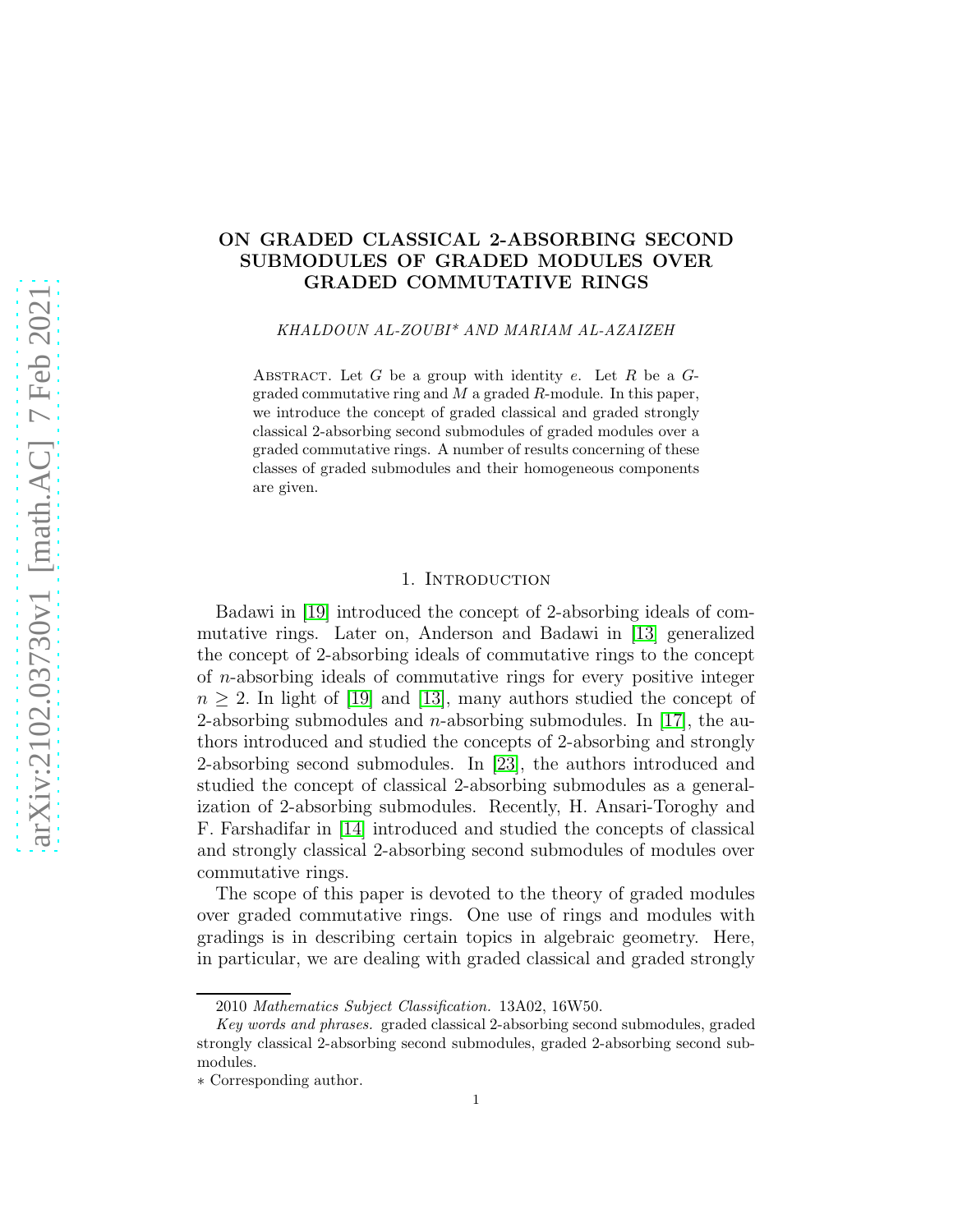# ON GRADED CLASSICAL 2-ABSORBING SECOND SUBMODULES OF GRADED MODULES OVER GRADED COMMUTATIVE RINGS

KHALDOUN AL-ZOUBI\* AND MARIAM AL-AZAIZEH

ABSTRACT. Let  $G$  be a group with identity  $e$ . Let  $R$  be a  $G$ graded commutative ring and  $M$  a graded  $R$ -module. In this paper, we introduce the concept of graded classical and graded strongly classical 2-absorbing second submodules of graded modules over a graded commutative rings. A number of results concerning of these classes of graded submodules and their homogeneous components are given.

#### 1. INTRODUCTION

Badawi in [\[19\]](#page-12-0) introduced the concept of 2-absorbing ideals of commutative rings. Later on, Anderson and Badawi in [\[13\]](#page-11-0) generalized the concept of 2-absorbing ideals of commutative rings to the concept of n-absorbing ideals of commutative rings for every positive integer  $n \geq 2$ . In light of [\[19\]](#page-12-0) and [\[13\]](#page-11-0), many authors studied the concept of 2-absorbing submodules and *n*-absorbing submodules. In [\[17\]](#page-12-1), the authors introduced and studied the concepts of 2-absorbing and strongly 2-absorbing second submodules. In [\[23\]](#page-12-2), the authors introduced and studied the concept of classical 2-absorbing submodules as a generalization of 2-absorbing submodules. Recently, H. Ansari-Toroghy and F. Farshadifar in [\[14\]](#page-11-1) introduced and studied the concepts of classical and strongly classical 2-absorbing second submodules of modules over commutative rings.

The scope of this paper is devoted to the theory of graded modules over graded commutative rings. One use of rings and modules with gradings is in describing certain topics in algebraic geometry. Here, in particular, we are dealing with graded classical and graded strongly

<sup>2010</sup> Mathematics Subject Classification. 13A02, 16W50.

Key words and phrases. graded classical 2-absorbing second submodules, graded strongly classical 2-absorbing second submodules, graded 2-absorbing second submodules.

<sup>∗</sup> Corresponding author.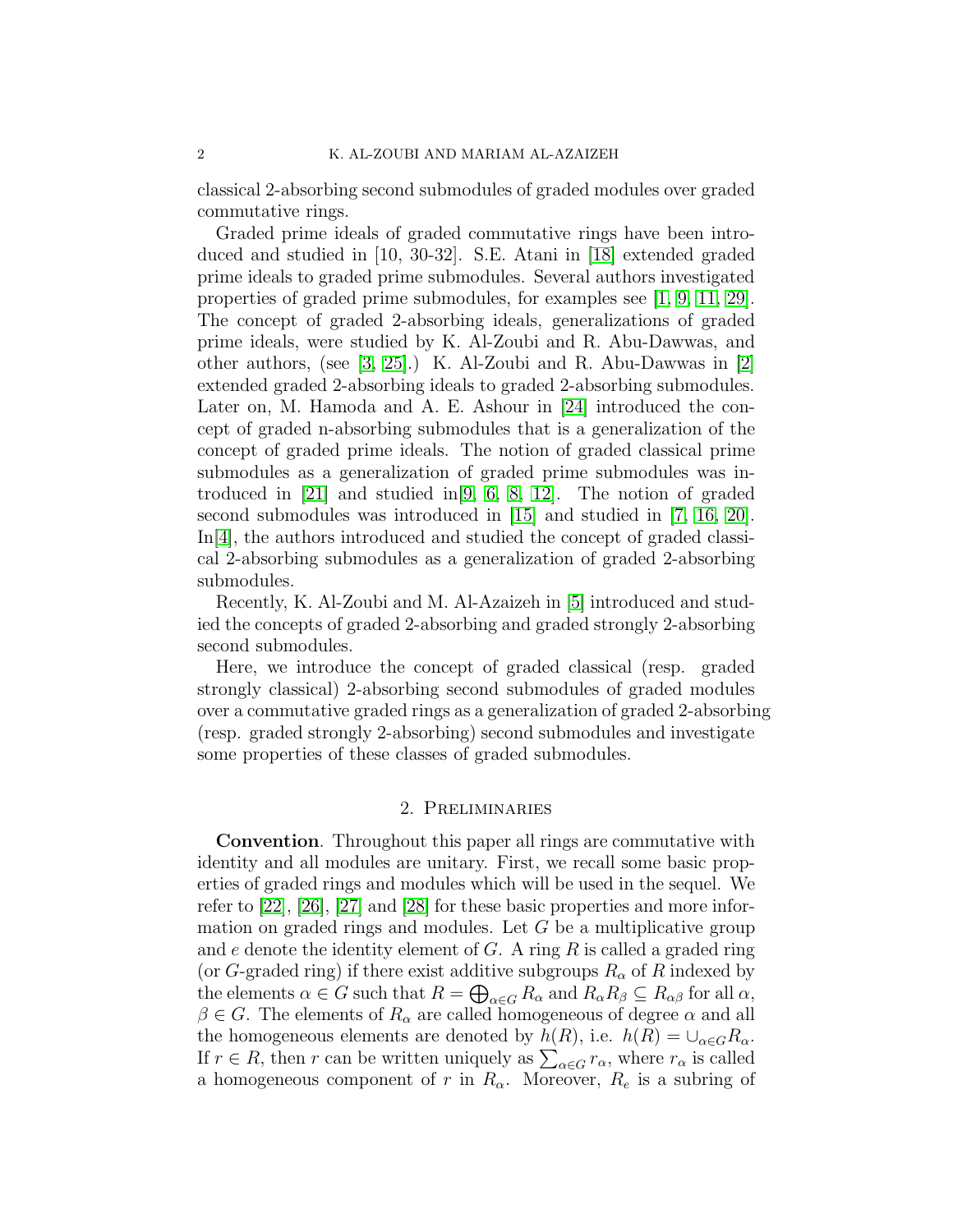classical 2-absorbing second submodules of graded modules over graded commutative rings.

Graded prime ideals of graded commutative rings have been introduced and studied in [10, 30-32]. S.E. Atani in [\[18\]](#page-12-3) extended graded prime ideals to graded prime submodules. Several authors investigated properties of graded prime submodules, for examples see [\[1,](#page-11-2) [9,](#page-11-3) [11,](#page-11-4) [29\]](#page-12-4). The concept of graded 2-absorbing ideals, generalizations of graded prime ideals, were studied by K. Al-Zoubi and R. Abu-Dawwas, and other authors, (see [\[3,](#page-11-5) [25\]](#page-12-5).) K. Al-Zoubi and R. Abu-Dawwas in [\[2\]](#page-11-6) extended graded 2-absorbing ideals to graded 2-absorbing submodules. Later on, M. Hamoda and A. E. Ashour in [\[24\]](#page-12-6) introduced the concept of graded n-absorbing submodules that is a generalization of the concept of graded prime ideals. The notion of graded classical prime submodules as a generalization of graded prime submodules was introduced in [\[21\]](#page-12-7) and studied in[\[9,](#page-11-3) [6,](#page-11-7) [8,](#page-11-8) [12\]](#page-11-9). The notion of graded second submodules was introduced in [\[15\]](#page-11-10) and studied in [\[7,](#page-11-11) [16,](#page-11-12) [20\]](#page-12-8). In[\[4\]](#page-11-13), the authors introduced and studied the concept of graded classical 2-absorbing submodules as a generalization of graded 2-absorbing submodules.

Recently, K. Al-Zoubi and M. Al-Azaizeh in [\[5\]](#page-11-14) introduced and studied the concepts of graded 2-absorbing and graded strongly 2-absorbing second submodules.

Here, we introduce the concept of graded classical (resp. graded strongly classical) 2-absorbing second submodules of graded modules over a commutative graded rings as a generalization of graded 2-absorbing (resp. graded strongly 2-absorbing) second submodules and investigate some properties of these classes of graded submodules.

## 2. Preliminaries

Convention. Throughout this paper all rings are commutative with identity and all modules are unitary. First, we recall some basic properties of graded rings and modules which will be used in the sequel. We refer to [\[22\]](#page-12-9), [\[26\]](#page-12-10), [\[27\]](#page-12-11) and [\[28\]](#page-12-12) for these basic properties and more information on graded rings and modules. Let  $G$  be a multiplicative group and  $e$  denote the identity element of  $G$ . A ring  $R$  is called a graded ring (or G-graded ring) if there exist additive subgroups  $R_{\alpha}$  of R indexed by the elements  $\alpha \in G$  such that  $R = \bigoplus_{\alpha \in G} R_{\alpha}$  and  $R_{\alpha}R_{\beta} \subseteq R_{\alpha\beta}$  for all  $\alpha$ ,  $\beta \in G$ . The elements of  $R_{\alpha}$  are called homogeneous of degree  $\alpha$  and all the homogeneous elements are denoted by  $h(R)$ , i.e.  $h(R) = \bigcup_{\alpha \in G} R_{\alpha}$ . If  $r \in R$ , then r can be written uniquely as  $\sum_{\alpha \in G} r_{\alpha}$ , where  $r_{\alpha}$  is called a homogeneous component of r in  $R_{\alpha}$ . Moreover,  $R_{e}$  is a subring of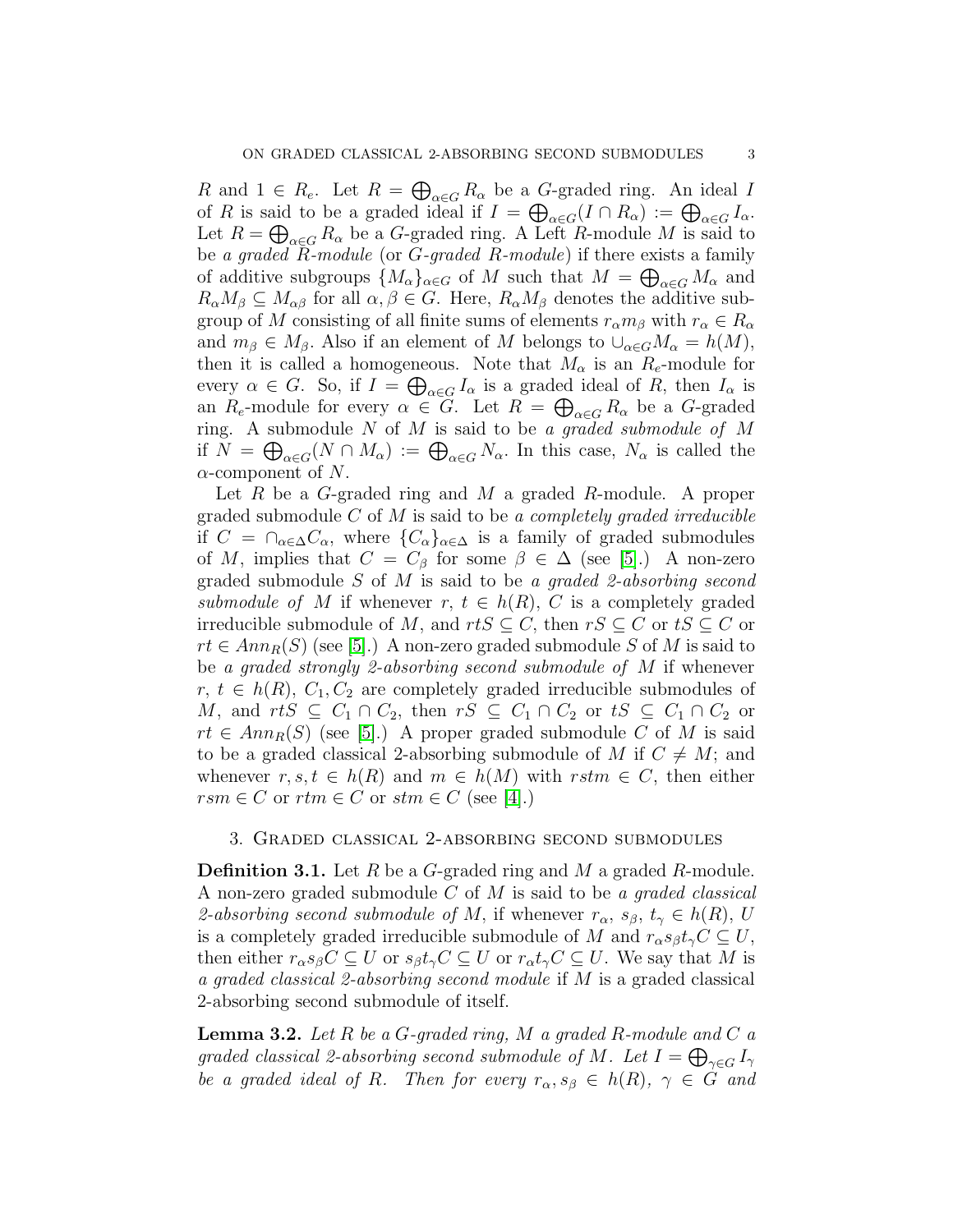R and  $1 \in R_e$ . Let  $R = \bigoplus_{\alpha \in G} R_\alpha$  be a G-graded ring. An ideal I of R is said to be a graded ideal if  $I = \bigoplus_{\alpha \in G} (I \cap R_{\alpha}) := \bigoplus_{\alpha \in G} I_{\alpha}$ . Let  $R = \bigoplus_{\alpha \in G} R_{\alpha}$  be a G-graded ring. A Left R-module M is said to be *a graded* R*-module* (or G*-graded* R*-module*) if there exists a family of additive subgroups  $\{M_{\alpha}\}_{{\alpha}\in G}$  of M such that  $M=\bigoplus_{{\alpha}\in G}M_{\alpha}$  and  $R_{\alpha}M_{\beta} \subseteq M_{\alpha\beta}$  for all  $\alpha, \beta \in G$ . Here,  $R_{\alpha}M_{\beta}$  denotes the additive subgroup of M consisting of all finite sums of elements  $r_{\alpha} m_{\beta}$  with  $r_{\alpha} \in R_{\alpha}$ and  $m_{\beta} \in M_{\beta}$ . Also if an element of M belongs to  $\cup_{\alpha \in G} M_{\alpha} = h(M)$ , then it is called a homogeneous. Note that  $M_{\alpha}$  is an  $R_e$ -module for every  $\alpha \in G$ . So, if  $I = \bigoplus_{\alpha \in G} I_{\alpha}$  is a graded ideal of R, then  $I_{\alpha}$  is an  $R_e$ -module for every  $\alpha \in G$ . Let  $R = \bigoplus_{\alpha \in G} R_\alpha$  be a G-graded ring. A submodule N of M is said to be *a graded submodule of* M if  $N = \bigoplus_{\alpha \in G} (N \cap M_{\alpha}) := \bigoplus_{\alpha \in G} N_{\alpha}$ . In this case,  $N_{\alpha}$  is called the  $\alpha$ -component of N.

Let R be a G-graded ring and M a graded R-module. A proper graded submodule C of M is said to be *a completely graded irreducible* if  $C = \bigcap_{\alpha \in \Delta} C_{\alpha}$ , where  $\{C_{\alpha}\}_{{\alpha \in \Delta}}$  is a family of graded submodules of M, implies that  $C = C_{\beta}$  for some  $\beta \in \Delta$  (see [\[5\]](#page-11-14).) A non-zero graded submodule S of M is said to be *a graded 2-absorbing second submodule of* M if whenever  $r, t \in h(R), C$  is a completely graded irreducible submodule of M, and  $rtS \subseteq C$ , then  $rS \subseteq C$  or  $tS \subseteq C$  or  $rt \in Ann_R(S)$  (see [\[5\]](#page-11-14).) A non-zero graded submodule S of M is said to be *a graded strongly 2-absorbing second submodule of* M if whenever  $r, t \in h(R), C_1, C_2$  are completely graded irreducible submodules of M, and  $rtS \subseteq C_1 \cap C_2$ , then  $rS \subseteq C_1 \cap C_2$  or  $tS \subseteq C_1 \cap C_2$  or  $rt \in Ann_R(S)$  (see [\[5\]](#page-11-14).) A proper graded submodule C of M is said to be a graded classical 2-absorbing submodule of M if  $C \neq M$ ; and whenever  $r, s, t \in h(R)$  and  $m \in h(M)$  with  $rstm \in C$ , then either  $rsm \in C$  or  $rtm \in C$  or  $stm \in C$  (see [\[4\]](#page-11-13).)

### 3. Graded classical 2-absorbing second submodules

**Definition 3.1.** Let R be a G-graded ring and M a graded R-module. A non-zero graded submodule C of M is said to be *a graded classical 2-absorbing second submodule of M*, if whenever  $r_{\alpha}$ ,  $s_{\beta}$ ,  $t_{\gamma} \in h(R)$ , U is a completely graded irreducible submodule of M and  $r_{\alpha} s_{\beta} t_{\gamma} C \subseteq U$ , then either  $r_{\alpha} s_{\beta} C \subseteq U$  or  $s_{\beta} t_{\gamma} C \subseteq U$  or  $r_{\alpha} t_{\gamma} C \subseteq U$ . We say that M is *a graded classical 2-absorbing second module* if M is a graded classical 2-absorbing second submodule of itself.

Lemma 3.2. *Let* R *be a* G*-graded ring,* M *a graded* R*-module and* C *a graded classical 2-absorbing second submodule of M. Let*  $I = \bigoplus_{\gamma \in G} I_{\gamma}$ *be a graded ideal of* R. Then for every  $r_{\alpha}, s_{\beta} \in h(R)$ ,  $\gamma \in G$  and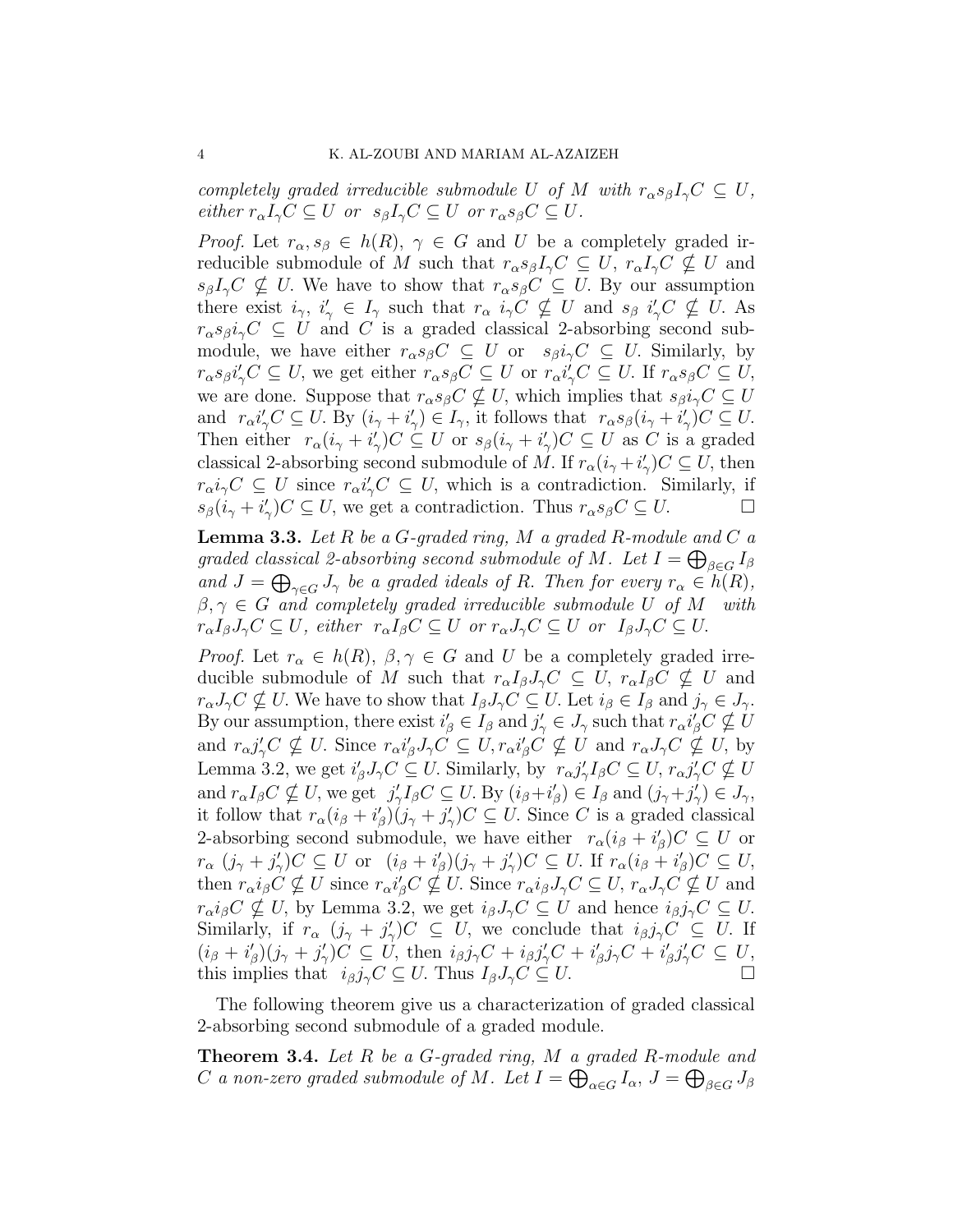*completely graded irreducible submodule* U *of* M *with*  $r_{\alpha} s_{\beta} I_{\gamma} C \subseteq U$ , *either*  $r_{\alpha}I_{\gamma}C \subseteq U$  *or*  $s_{\beta}I_{\gamma}C \subseteq U$  *or*  $r_{\alpha}s_{\beta}C \subseteq U$ *.* 

*Proof.* Let  $r_{\alpha}, s_{\beta} \in h(R), \gamma \in G$  and U be a completely graded irreducible submodule of M such that  $r_{\alpha}s_{\beta}I_{\gamma}C \subseteq U$ ,  $r_{\alpha}I_{\gamma}C \nsubseteq U$  and  $s_{\beta}I_{\gamma}C \nsubseteq U$ . We have to show that  $r_{\alpha}s_{\beta}C \subseteq U$ . By our assumption there exist  $i_{\gamma}$ ,  $i'_{\gamma} \in I_{\gamma}$  such that  $r_{\alpha}$   $i_{\gamma}C \nsubseteq U$  and  $s_{\beta}$   $i'_{\gamma}C \nsubseteq U$ . As  $r_{\alpha} s_{\beta} i_{\gamma} C \subseteq U$  and C is a graded classical 2-absorbing second submodule, we have either  $r_{\alpha}s_{\beta}C \subseteq U$  or  $s_{\beta}i_{\gamma}C \subseteq U$ . Similarly, by  $r_{\alpha}s_{\beta}i_{\gamma}'C \subseteq U$ , we get either  $r_{\alpha}s_{\beta}C \subseteq U$  or  $r_{\alpha}i_{\gamma}'C \subseteq U$ . If  $r_{\alpha}s_{\beta}C \subseteq U$ , we are done. Suppose that  $r_{\alpha} s_{\beta} C \nsubseteq U$ , which implies that  $s_{\beta} i_{\gamma} C \subseteq U$ and  $r_{\alpha}i_{\gamma}'C \subseteq U$ . By  $(i_{\gamma} + i')$  $(\gamma) \in I_{\gamma}$ , it follows that  $r_{\alpha}s_{\beta}(i_{\gamma}+i')$  $C'_\gamma$ ) $C \subseteq U$ . Then either  $r_{\alpha}(i_{\gamma}+i')$  $\mathcal{C}_\gamma C \subseteq U \text{ or } s_\beta(i_\gamma + i_\gamma')$  $\chi'_{\gamma}$ ) $C \subseteq U$  as C is a graded classical 2-absorbing second submodule of M. If  $r_{\alpha}(i_{\gamma}+i')$  $\zeta'_\gamma$ ) $C \subseteq U$ , then  $r_{\alpha}i_{\gamma}C \subseteq U$  since  $r_{\alpha}i_{\gamma}'C \subseteq U$ , which is a contradiction. Similarly, if  $s_{\beta}(i_{\gamma}+i_{\gamma}^{\prime}% +i_{\gamma}^{\prime})=\sum_{i,j=0}^{N}a_{i,j}^{i}$  $\gamma'_{\gamma}$ ) $C \subseteq U$ , we get a contradiction. Thus  $r_{\alpha}s_{\beta}C \subseteq U$ .

Lemma 3.3. *Let* R *be a* G*-graded ring,* M *a graded* R*-module and* C *a* graded classical 2-absorbing second submodule of M. Let  $I = \bigoplus_{\beta \in G} I_{\beta}$ and  $J = \bigoplus_{\gamma \in G} J_{\gamma}$  *be a graded ideals of R. Then for every*  $r_{\alpha} \in h(R)$ *,*  $\beta, \gamma \in G$  *and completely graded irreducible submodule* U of M *with*  $r_{\alpha}I_{\beta}J_{\gamma}C \subseteq U$ , either  $r_{\alpha}I_{\beta}C \subseteq U$  or  $r_{\alpha}J_{\gamma}C \subseteq U$  or  $I_{\beta}J_{\gamma}C \subseteq U$ .

*Proof.* Let  $r_{\alpha} \in h(R)$ ,  $\beta, \gamma \in G$  and U be a completely graded irreducible submodule of M such that  $r_{\alpha}I_{\beta}J_{\gamma}C \subseteq U$ ,  $r_{\alpha}I_{\beta}C \nsubseteq U$  and  $r_{\alpha}J_{\gamma}C \nsubseteq U$ . We have to show that  $I_{\beta}J_{\gamma}C \subseteq U$ . Let  $i_{\beta} \in I_{\beta}$  and  $j_{\gamma} \in J_{\gamma}$ . By our assumption, there exist  $i'_{\beta} \in I_{\beta}$  and  $j'_{\gamma} \in J_{\gamma}$  such that  $r_{\alpha}i'_{\beta}C \nsubseteq U$ and  $r_{\alpha}j'_{\gamma}C \nsubseteq U$ . Since  $r_{\alpha}i'_{\beta}J_{\gamma}C \subseteq U$ ,  $r_{\alpha}i'_{\beta}C \nsubseteq U$  and  $r_{\alpha}J_{\gamma}C \nsubseteq U$ , by Lemma 3.2, we get  $i'_{\beta} J_{\gamma} C \subseteq U$ . Similarly, by  $r_{\alpha} j'_{\gamma}$  $\gamma I_{\beta}C \subseteq U$ ,  $r_{\alpha}j_{\gamma}'C \nsubseteq U$ and  $r_{\alpha}I_{\beta}C \nsubseteq U$ , we get j'  $\gamma I_{\beta}C \subseteq U$ . By  $(i_{\beta}+i_{\beta}')$  $\mathcal{L}_{\beta}$ )  $\in I_{\beta}$  and  $(j_{\gamma}+j_{\gamma}')$  $\mathcal{U}_{\gamma})\in J_{\gamma},$ it follow that  $r_{\alpha}(i_{\beta}+i'_{\beta})$  $\zeta_\beta)(j_\gamma+j'_\gamma)$  $\chi'_{\gamma}$ ) $C \subseteq U$ . Since C is a graded classical 2-absorbing second submodule, we have either  $r_{\alpha}(i_{\beta} + i'_{\beta})$  $\mathcal{C}_{\beta}$ ) $C \subseteq U$  or  $r_{\alpha}$   $(j_{\gamma} + j'_{\gamma})$  $\gamma'_{\gamma}$ ) $C \subseteq U$  or  $(i_{\beta} + i'_{\beta})$  $j_{\beta\beta}^{\prime}(j_{\gamma}+j_{\gamma}^{\prime})$  $\gamma'_{\gamma}$ )C  $\subseteq U$ . If  $r_{\alpha}(i_{\beta}+i'_{\beta})$  $'_{\beta}$ ) $C \subseteq U$ , then  $r_{\alpha}i_{\beta}C \nsubseteq U$  since  $r_{\alpha}i'_{\beta}C \nsubseteq U$ . Since  $r_{\alpha}i_{\beta}J_{\gamma}C \subseteq U$ ,  $r_{\alpha}J_{\gamma}C \nsubseteq U$  and  $r_{\alpha}i_{\beta}C \nsubseteq U$ , by Lemma 3.2, we get  $i_{\beta}J_{\gamma}C \subseteq U$  and hence  $i_{\beta}j_{\gamma}C \subseteq U$ . Similarly, if  $r_{\alpha}$   $(j_{\gamma} + j'_{\gamma})$  $\chi'_\gamma$ ) $C \subseteq U$ , we conclude that  $i_\beta j_\gamma C \subseteq U$ . If  $(i_{\beta} + i'_{\beta})$  $j_{\beta\beta}^{\prime}(j_{\gamma}+j_{\gamma}^{\prime})$  $\mathcal{I}_{\gamma}^{\prime}\big)C\subseteq U, \text{ then }i_{\beta}j_{\gamma}C+i_{\beta}j_{\gamma}^{\prime}C+i_{\beta}^{\prime}$  $j_{\beta}j_{\gamma}C + i_{\beta}^{\prime}$  $'_{\beta}j'_{\gamma}C \subseteq U,$ this implies that  $i_{\beta}j_{\gamma}C \subseteq U$ . Thus  $I_{\beta}J_{\gamma}C \subseteq U$ .

The following theorem give us a characterization of graded classical 2-absorbing second submodule of a graded module.

Theorem 3.4. *Let* R *be a* G*-graded ring,* M *a graded* R*-module and* C a non-zero graded submodule of M . Let  $I = \bigoplus_{\alpha \in G} I_\alpha$ ,  $J = \bigoplus_{\beta \in G} J_\beta$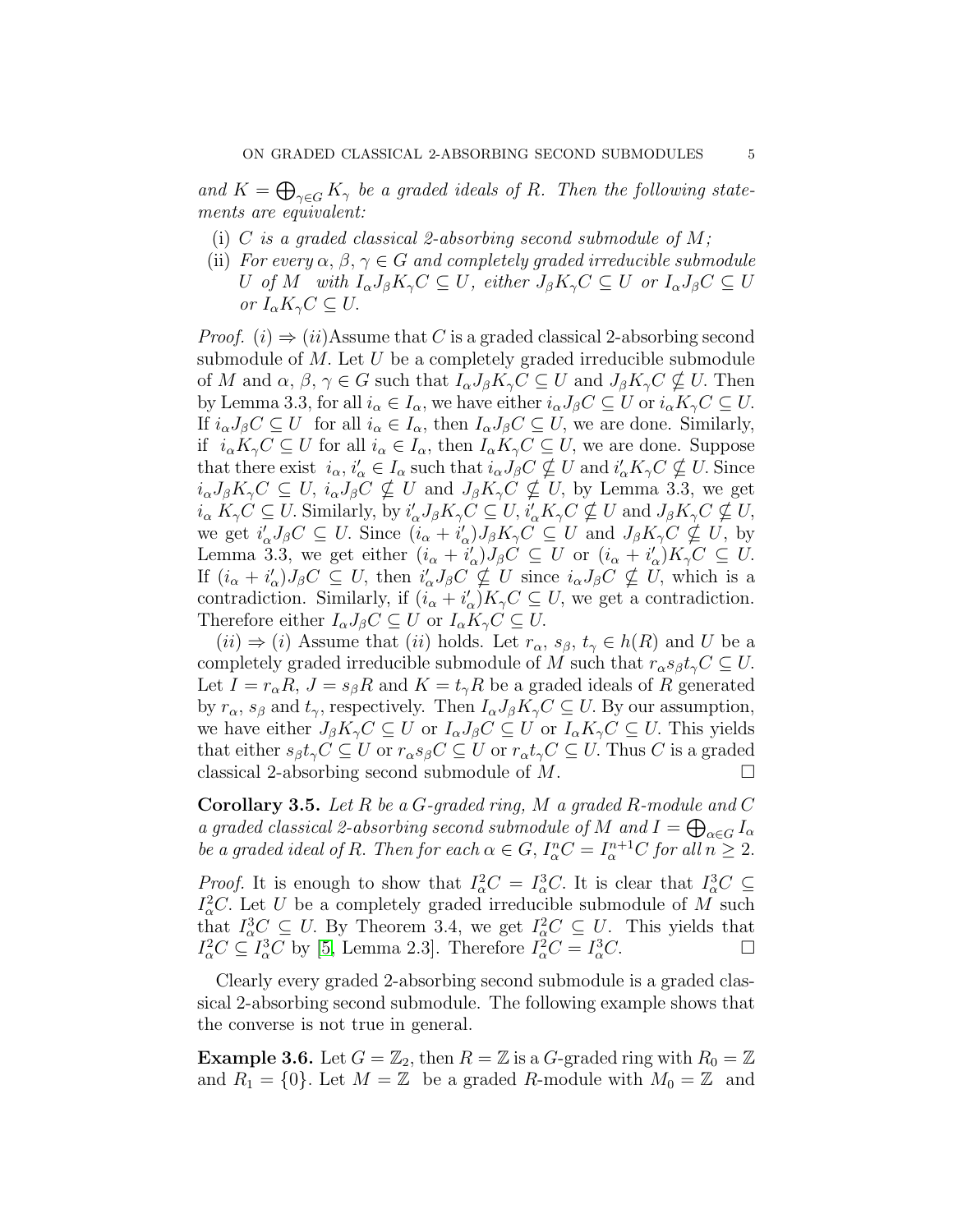and  $K = \bigoplus_{\gamma \in G} K_{\gamma}$  *be a graded ideals of R. Then the following statements are equivalent:*

- (i) C *is a graded classical 2-absorbing second submodule of* M*;*
- (ii) *For every*  $\alpha$ ,  $\beta$ ,  $\gamma \in G$  *and completely graded irreducible submodule* U of M with  $I_{\alpha}J_{\beta}K_{\gamma}C \subseteq U$ , either  $J_{\beta}K_{\gamma}C \subseteq U$  or  $I_{\alpha}J_{\beta}C \subseteq U$ *or*  $I_{\alpha}K_{\gamma}C \subseteq U$ .

*Proof.* (i)  $\Rightarrow$  (ii)Assume that C is a graded classical 2-absorbing second submodule of  $M$ . Let  $U$  be a completely graded irreducible submodule of M and  $\alpha, \beta, \gamma \in G$  such that  $I_{\alpha}J_{\beta}K_{\gamma}C \subseteq U$  and  $J_{\beta}K_{\gamma}C \nsubseteq U$ . Then by Lemma 3.3, for all  $i_{\alpha} \in I_{\alpha}$ , we have either  $i_{\alpha}J_{\beta}C \subseteq U$  or  $i_{\alpha}K_{\gamma}C \subseteq U$ . If  $i_{\alpha}J_{\beta}C \subseteq U$  for all  $i_{\alpha} \in I_{\alpha}$ , then  $I_{\alpha}J_{\beta}C \subseteq U$ , we are done. Similarly, if  $i_{\alpha}K_{\gamma}C \subseteq U$  for all  $i_{\alpha} \in I_{\alpha}$ , then  $I_{\alpha}K_{\gamma}C \subseteq U$ , we are done. Suppose that there exist  $i_{\alpha}, i'_{\alpha} \in I_{\alpha}$  such that  $i_{\alpha} J_{\beta} C \nsubseteq U$  and  $i'_{\alpha} K_{\gamma} C \nsubseteq U$ . Since  $i_{\alpha}J_{\beta}K_{\gamma}C\subseteq U$ ,  $i_{\alpha}J_{\beta}C\nsubseteq U$  and  $J_{\beta}K_{\gamma}C\nsubseteq U$ , by Lemma 3.3, we get  $i_{\alpha} K_{\gamma} C \subseteq U$ . Similarly, by  $i'_{\alpha} J_{\beta} K_{\gamma} C \subseteq U$ ,  $i'_{\alpha} K_{\gamma} C \nsubseteq U$  and  $J_{\beta} K_{\gamma} C \nsubseteq U$ , we get  $i'_{\alpha}J_{\beta}C \subseteq U$ . Since  $(i_{\alpha} + i'_{\alpha})$  $\mathcal{L}_{\alpha}$ ) $J_{\beta}K_{\gamma}C \subseteq U$  and  $J_{\beta}K_{\gamma}C \nsubseteq U$ , by Lemma 3.3, we get either  $(i_{\alpha} + i'_{\alpha})$  $\mathcal{L}_{\alpha})J_{\beta}C \subseteq U$  or  $(i_{\alpha}+i'_{\alpha})$  $C'_{\alpha}$ ) $K_{\gamma}C \subseteq U$ . If  $(i_{\alpha}+i'_{\alpha})$  $C_{\alpha}$ ) $J_{\beta}C \subseteq U$ , then  $i'_{\alpha}J_{\beta}C \nsubseteq U$  since  $i_{\alpha}J_{\beta}C \nsubseteq U$ , which is a contradiction. Similarly, if  $(i_{\alpha} + i'_{\alpha})$  $\mathcal{C}_{\alpha}$ ) $K_{\gamma}C \subseteq U$ , we get a contradiction. Therefore either  $I_{\alpha}J_{\beta}C \subseteq U$  or  $I_{\alpha}K_{\gamma}C \subseteq U$ .

 $(ii) \Rightarrow (i)$  Assume that  $(ii)$  holds. Let  $r_{\alpha}, s_{\beta}, t_{\gamma} \in h(R)$  and U be a completely graded irreducible submodule of M such that  $r_{\alpha} s_{\beta} t_{\gamma} C \subseteq U$ . Let  $I = r_{\alpha}R$ ,  $J = s_{\beta}R$  and  $K = t_{\gamma}R$  be a graded ideals of R generated by  $r_{\alpha}$ ,  $s_{\beta}$  and  $t_{\gamma}$ , respectively. Then  $I_{\alpha}J_{\beta}K_{\gamma}C \subseteq U$ . By our assumption, we have either  $J_{\beta}K_{\gamma}C \subseteq U$  or  $I_{\alpha}J_{\beta}C \subseteq U$  or  $I_{\alpha}K_{\gamma}C \subseteq U$ . This yields that either  $s_{\beta}t_{\gamma}C \subseteq U$  or  $r_{\alpha}s_{\beta}C \subseteq U$  or  $r_{\alpha}t_{\gamma}C \subseteq U$ . Thus C is a graded classical 2-absorbing second submodule of  $M$ .

Corollary 3.5. *Let* R *be a* G*-graded ring,* M *a graded* R*-module and* C *a graded classical 2-absorbing second submodule of*  $M$  *and*  $I = \bigoplus_{\alpha \in G} I_{\alpha}$ *be a graded ideal of R. Then for each*  $\alpha \in G$ ,  $I_{\alpha}^{n}C = I_{\alpha}^{n+1}C$  for all  $n \geq 2$ .

*Proof.* It is enough to show that  $I^2_\alpha C = I^3_\alpha C$ . It is clear that  $I^3_\alpha C \subseteq I^3_\alpha C$  $I^2_{\alpha}C$ . Let U be a completely graded irreducible submodule of M such that  $I_{\alpha}^{3}C \subseteq U$ . By Theorem 3.4, we get  $I_{\alpha}^{2}C \subseteq U$ . This yields that  $I_{\alpha}^2 C \subseteq I_{\alpha}^3 C$  by [\[5,](#page-11-14) Lemma 2.3]. Therefore  $I_{\alpha}^2 C = I_{\alpha}^3$  $\int_{\alpha}^{3} C.$ 

Clearly every graded 2-absorbing second submodule is a graded classical 2-absorbing second submodule. The following example shows that the converse is not true in general.

**Example 3.6.** Let  $G = \mathbb{Z}_2$ , then  $R = \mathbb{Z}$  is a G-graded ring with  $R_0 = \mathbb{Z}$ and  $R_1 = \{0\}$ . Let  $M = \mathbb{Z}$  be a graded R-module with  $M_0 = \mathbb{Z}$  and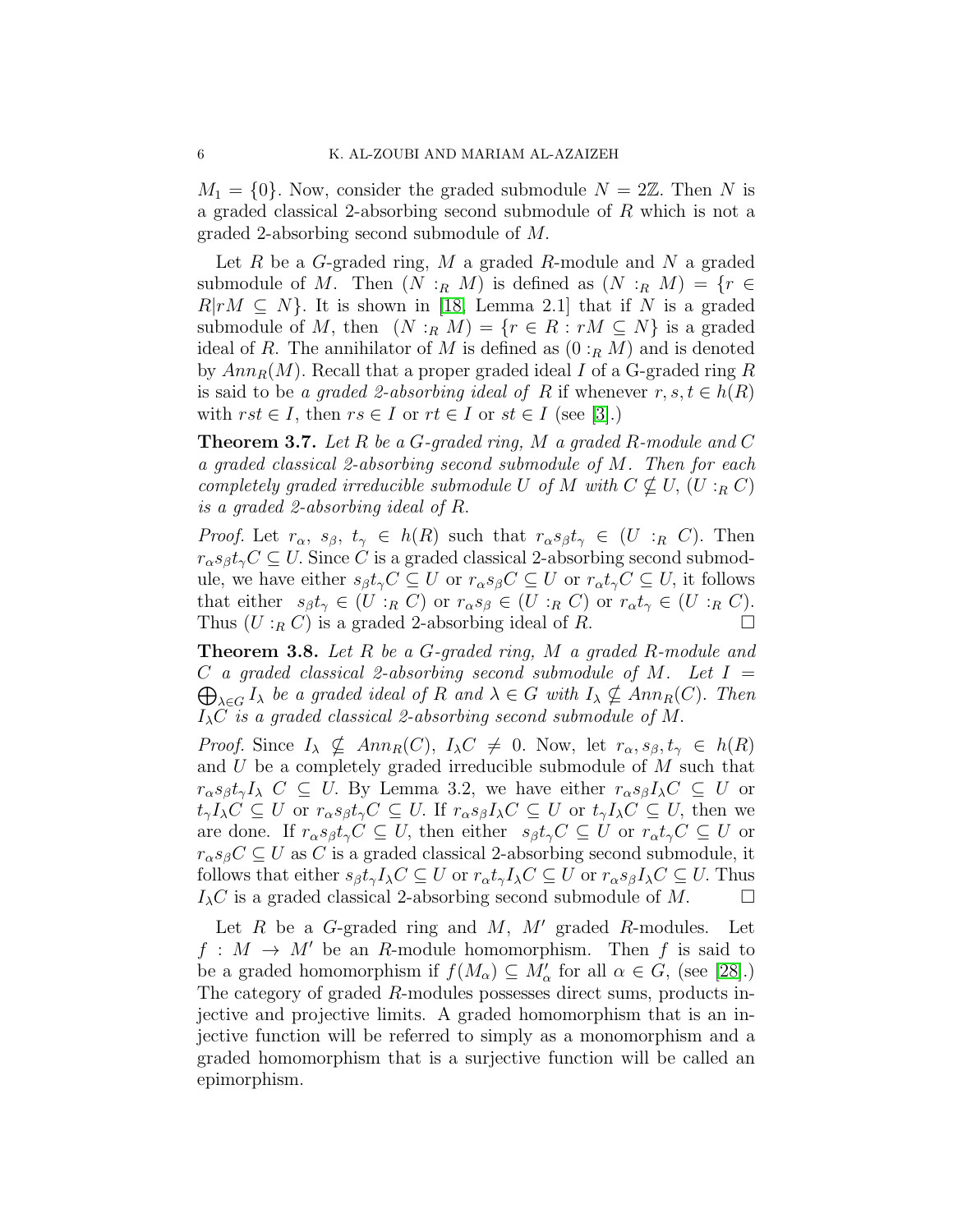$M_1 = \{0\}$ . Now, consider the graded submodule  $N = 2\mathbb{Z}$ . Then N is a graded classical 2-absorbing second submodule of R which is not a graded 2-absorbing second submodule of M.

Let  $R$  be a  $G$ -graded ring,  $M$  a graded  $R$ -module and  $N$  a graded submodule of M. Then  $(N :_R M)$  is defined as  $(N :_R M) = \{r \in$  $R|rM \subseteq N$ . It is shown in [\[18,](#page-12-3) Lemma 2.1] that if N is a graded submodule of M, then  $(N :_R M) = \{r \in R : rM \subseteq N\}$  is a graded ideal of R. The annihilator of M is defined as  $(0:_{R} M)$  and is denoted by  $Ann_R(M)$ . Recall that a proper graded ideal I of a G-graded ring R is said to be *a graded 2-absorbing ideal of* R if whenever  $r, s, t \in h(R)$ with  $rst \in I$ , then  $rs \in I$  or  $rt \in I$  or  $st \in I$  (see [\[3\]](#page-11-5).)

Theorem 3.7. *Let* R *be a* G*-graded ring,* M *a graded* R*-module and* C *a graded classical 2-absorbing second submodule of* M*. Then for each completely graded irreducible submodule* U *of* M *with*  $C \nsubseteq U$ ,  $(U :_R C)$ *is a graded 2-absorbing ideal of* R.

*Proof.* Let  $r_{\alpha}$ ,  $s_{\beta}$ ,  $t_{\gamma} \in h(R)$  such that  $r_{\alpha}s_{\beta}t_{\gamma} \in (U :_{R} C)$ . Then  $r_{\alpha}s_{\beta}t_{\gamma}C \subseteq U$ . Since C is a graded classical 2-absorbing second submodule, we have either  $s_{\beta}t_{\gamma}C \subseteq U$  or  $r_{\alpha}s_{\beta}C \subseteq U$  or  $r_{\alpha}t_{\gamma}C \subseteq U$ , it follows that either  $s_{\beta}t_{\gamma} \in (U :_{R} C)$  or  $r_{\alpha}s_{\beta} \in (U :_{R} C)$  or  $r_{\alpha}t_{\gamma} \in (U :_{R} C)$ . Thus  $(U:_{R} C)$  is a graded 2-absorbing ideal of R.

Theorem 3.8. *Let* R *be a* G*-graded ring,* M *a graded* R*-module and* C *a graded classical 2-absorbing second submodule of* M*. Let* I =  $\bigoplus_{\lambda \in G} I_{\lambda}$  *be a graded ideal of* R *and*  $\lambda \in G$  *with*  $I_{\lambda} \nsubseteq Ann_R(C)$ . *Then* IλC *is a graded classical 2-absorbing second submodule of* M.

*Proof.* Since  $I_{\lambda} \nsubseteq Ann_R(C), I_{\lambda}C \neq 0$ . Now, let  $r_{\alpha}, s_{\beta}, t_{\gamma} \in h(R)$ and  $U$  be a completely graded irreducible submodule of  $M$  such that  $r_{\alpha}s_{\beta}t_{\gamma}I_{\lambda} C \subseteq U$ . By Lemma 3.2, we have either  $r_{\alpha}s_{\beta}I_{\lambda}C \subseteq U$  or  $t_{\gamma}I_{\lambda}C \subseteq U$  or  $r_{\alpha}s_{\beta}t_{\gamma}C \subseteq U$ . If  $r_{\alpha}s_{\beta}I_{\lambda}C \subseteq U$  or  $t_{\gamma}I_{\lambda}C \subseteq U$ , then we are done. If  $r_{\alpha} s_{\beta} t_{\gamma} C \subseteq U$ , then either  $s_{\beta} t_{\gamma} C \subseteq U$  or  $r_{\alpha} t_{\gamma} C \subseteq U$  or  $r_{\alpha}s_{\beta}C \subseteq U$  as C is a graded classical 2-absorbing second submodule, it follows that either  $s_{\beta}t_{\gamma}I_{\lambda}C \subseteq U$  or  $r_{\alpha}t_{\gamma}I_{\lambda}C \subseteq U$  or  $r_{\alpha}s_{\beta}I_{\lambda}C \subseteq U$ . Thus  $I_{\lambda}C$  is a graded classical 2-absorbing second submodule of M.  $\Box$ 

Let R be a G-graded ring and  $M$ ,  $M'$  graded R-modules. Let  $f: M \to M'$  be an R-module homomorphism. Then f is said to be a graded homomorphism if  $f(M_\alpha) \subseteq M'_\alpha$  for all  $\alpha \in G$ , (see [\[28\]](#page-12-12).) The category of graded R-modules possesses direct sums, products injective and projective limits. A graded homomorphism that is an injective function will be referred to simply as a monomorphism and a graded homomorphism that is a surjective function will be called an epimorphism.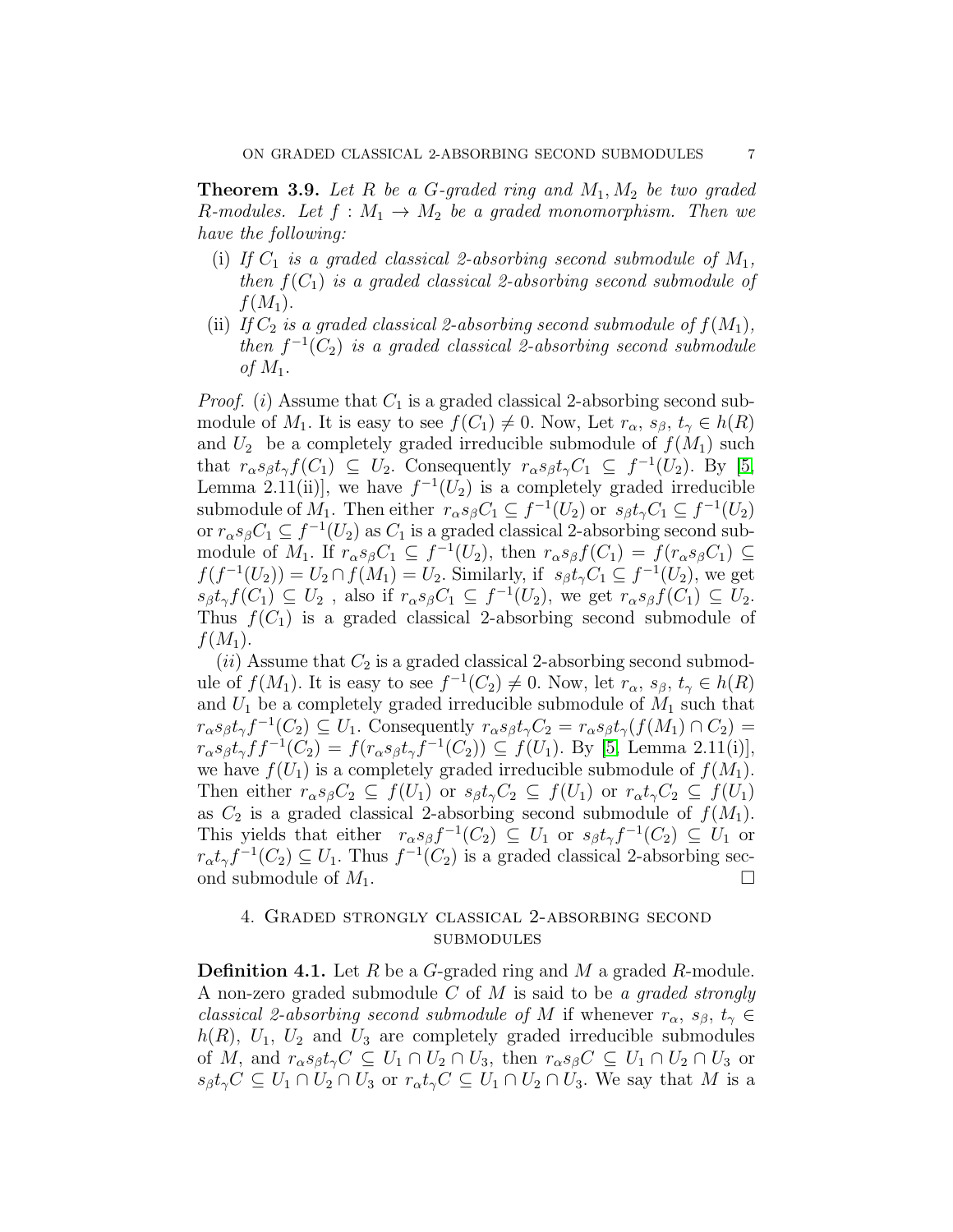**Theorem 3.9.** Let R be a G-graded ring and  $M_1$ ,  $M_2$  be two graded *R*-modules. Let  $f : M_1 \to M_2$  be a graded monomorphism. Then we *have the following:*

- (i) If  $C_1$  *is a graded classical 2-absorbing second submodule of*  $M_1$ , *then*  $f(C_1)$  *is a graded classical 2-absorbing second submodule of*  $f(M_1)$ .
- (ii) If  $C_2$  *is a graded classical 2-absorbing second submodule of*  $f(M_1)$ , *then*  $f^{-1}(C_2)$  *is a graded classical 2-absorbing second submodule of*  $M_1$ .

*Proof.* (i) Assume that  $C_1$  is a graded classical 2-absorbing second submodule of  $M_1$ . It is easy to see  $f(C_1) \neq 0$ . Now, Let  $r_\alpha$ ,  $s_\beta$ ,  $t_\gamma \in h(R)$ and  $U_2$  be a completely graded irreducible submodule of  $f(M_1)$  such that  $r_{\alpha} s_{\beta} t_{\gamma} f(C_1) \subseteq U_2$ . Consequently  $r_{\alpha} s_{\beta} t_{\gamma} C_1 \subseteq f^{-1}(U_2)$ . By [\[5,](#page-11-14) Lemma 2.11(ii)], we have  $f^{-1}(U_2)$  is a completely graded irreducible submodule of  $M_1$ . Then either  $r_\alpha s_\beta C_1 \subseteq f^{-1}(U_2)$  or  $s_\beta t_\gamma C_1 \subseteq f^{-1}(U_2)$ or  $r_{\alpha}s_{\beta}C_1 \subseteq f^{-1}(U_2)$  as  $C_1$  is a graded classical 2-absorbing second submodule of  $M_1$ . If  $r_\alpha s_\beta C_1 \subseteq f^{-1}(U_2)$ , then  $r_\alpha s_\beta f(C_1) = f(r_\alpha s_\beta C_1) \subseteq$  $f(f^{-1}(U_2)) = U_2 \cap f(M_1) = U_2$ . Similarly, if  $s_\beta t_\gamma C_1 \subseteq f^{-1}(U_2)$ , we get  $s_{\beta}t_{\gamma}f(C_1) \subseteq U_2$ , also if  $r_{\alpha}s_{\beta}C_1 \subseteq f^{-1}(U_2)$ , we get  $r_{\alpha}s_{\beta}f(C_1) \subseteq U_2$ . Thus  $f(C_1)$  is a graded classical 2-absorbing second submodule of  $f(M_1)$ .

(ii) Assume that  $C_2$  is a graded classical 2-absorbing second submodule of  $f(M_1)$ . It is easy to see  $f^{-1}(C_2) \neq 0$ . Now, let  $r_{\alpha}, s_{\beta}, t_{\gamma} \in h(R)$ and  $U_1$  be a completely graded irreducible submodule of  $M_1$  such that  $r_{\alpha} s_{\beta} t_{\gamma} f^{-1}(C_2) \subseteq U_1$ . Consequently  $r_{\alpha} s_{\beta} t_{\gamma} C_2 = r_{\alpha} s_{\beta} t_{\gamma} (f(M_1) \cap C_2)$  $r_{\alpha} s_{\beta} t_{\gamma} f f^{-1}(C_2) = f(r_{\alpha} s_{\beta} t_{\gamma} f^{-1}(C_2)) \subseteq f(U_1)$ . By [\[5,](#page-11-14) Lemma 2.11(i)], we have  $f(U_1)$  is a completely graded irreducible submodule of  $f(M_1)$ . Then either  $r_{\alpha}s_{\beta}C_2 \subseteq f(U_1)$  or  $s_{\beta}t_{\gamma}C_2 \subseteq f(U_1)$  or  $r_{\alpha}t_{\gamma}C_2 \subseteq f(U_1)$ as  $C_2$  is a graded classical 2-absorbing second submodule of  $f(M_1)$ . This yields that either  $r_{\alpha}s_{\beta}f^{-1}(C_2) \subseteq U_1$  or  $s_{\beta}t_{\gamma}f^{-1}(C_2) \subseteq U_1$  or  $r_{\alpha}t_{\gamma}f^{-1}(C_2) \subseteq U_1$ . Thus  $f^{-1}(C_2)$  is a graded classical 2-absorbing second submodule of  $M_1$ .

## 4. Graded strongly classical 2-absorbing second submodules

**Definition 4.1.** Let R be a G-graded ring and M a graded R-module. A non-zero graded submodule C of M is said to be *a graded strongly classical 2-absorbing second submodule of* M if whenever  $r_{\alpha}$ ,  $s_{\beta}$ ,  $t_{\gamma} \in$  $h(R)$ ,  $U_1$ ,  $U_2$  and  $U_3$  are completely graded irreducible submodules of M, and  $r_{\alpha} s_{\beta} t_{\gamma} C \subseteq U_1 \cap U_2 \cap U_3$ , then  $r_{\alpha} s_{\beta} C \subseteq U_1 \cap U_2 \cap U_3$  or  $s_{\beta}t_{\gamma}C \subseteq U_1 \cap U_2 \cap U_3$  or  $r_{\alpha}t_{\gamma}C \subseteq U_1 \cap U_2 \cap U_3$ . We say that M is a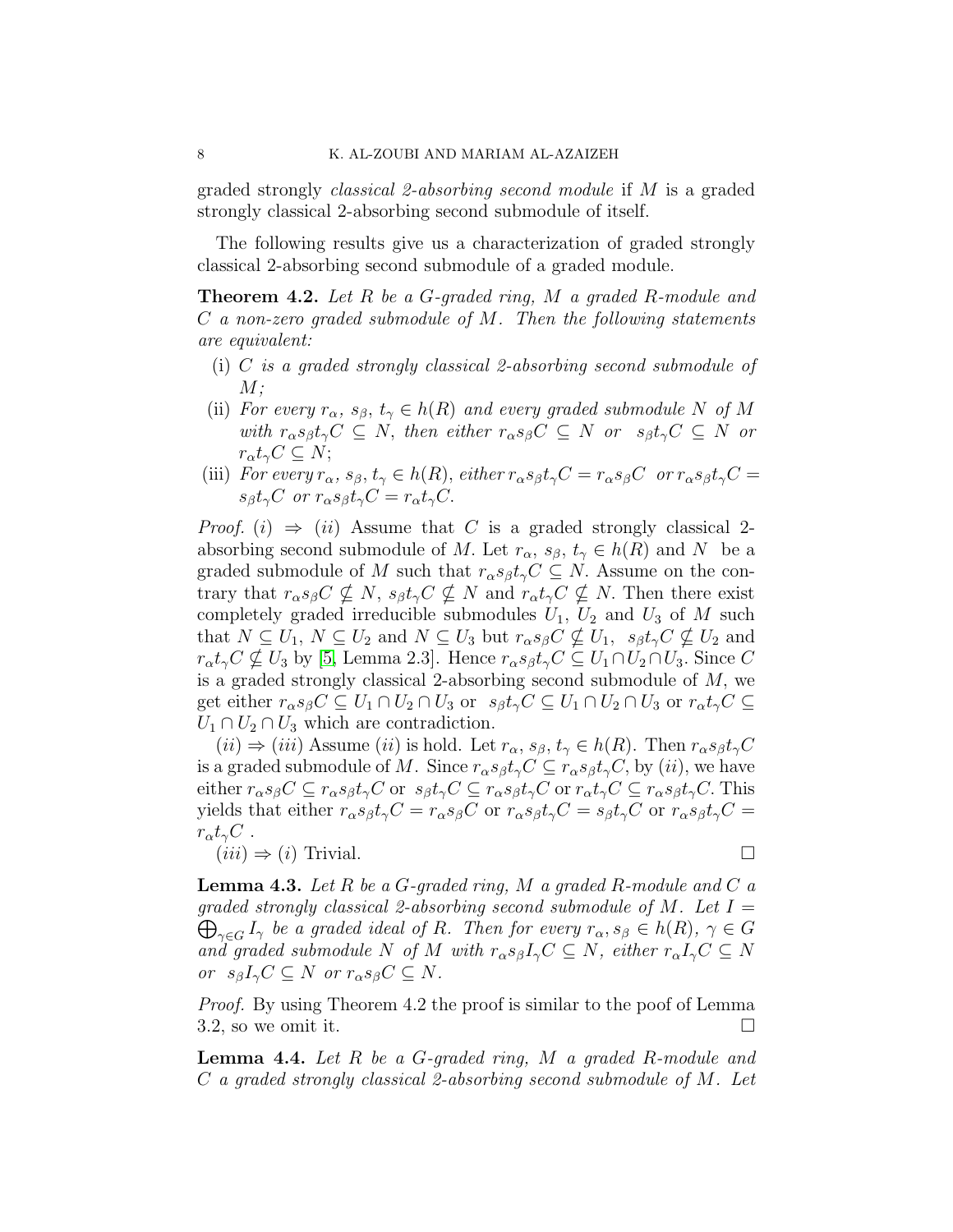graded strongly *classical 2-absorbing second module* if M is a graded strongly classical 2-absorbing second submodule of itself.

The following results give us a characterization of graded strongly classical 2-absorbing second submodule of a graded module.

Theorem 4.2. *Let* R *be a* G*-graded ring,* M *a graded* R*-module and* C *a non-zero graded submodule of* M*. Then the following statements are equivalent:*

- (i) C *is a graded strongly classical 2-absorbing second submodule of* M*;*
- (ii) *For every*  $r_{\alpha}$ ,  $s_{\beta}$ ,  $t_{\gamma} \in h(R)$  *and every graded submodule* N *of* M *with*  $r_{\alpha} s_{\beta} t_{\gamma} C \subseteq N$ , *then either*  $r_{\alpha} s_{\beta} C \subseteq N$  *or*  $s_{\beta} t_{\gamma} C \subseteq N$  *or*  $r_{\alpha}t_{\gamma}C\subseteq N;$
- (iii) *For every*  $r_{\alpha}$ ,  $s_{\beta}$ ,  $t_{\gamma} \in h(R)$ , *either*  $r_{\alpha} s_{\beta} t_{\gamma} C = r_{\alpha} s_{\beta} C$  *or*  $r_{\alpha} s_{\beta} t_{\gamma} C =$  $s_{\beta}t_{\gamma}C$  *or*  $r_{\alpha}s_{\beta}t_{\gamma}C = r_{\alpha}t_{\gamma}C$ .

*Proof.* (i)  $\Rightarrow$  (ii) Assume that C is a graded strongly classical 2absorbing second submodule of M. Let  $r_{\alpha}$ ,  $s_{\beta}$ ,  $t_{\gamma} \in h(R)$  and N be a graded submodule of M such that  $r_{\alpha}s_{\beta}t_{\gamma}C \subseteq N$ . Assume on the contrary that  $r_{\alpha} s_{\beta} C \nsubseteq N$ ,  $s_{\beta} t_{\gamma} C \nsubseteq N$  and  $r_{\alpha} t_{\gamma} C \nsubseteq N$ . Then there exist completely graded irreducible submodules  $U_1$ ,  $U_2$  and  $U_3$  of M such that  $N \subseteq U_1$ ,  $N \subseteq U_2$  and  $N \subseteq U_3$  but  $r_{\alpha} s_{\beta} C \nsubseteq U_1$ ,  $s_{\beta} t_{\gamma} C \nsubseteq U_2$  and  $r_{\alpha}t_{\gamma}C \nsubseteq U_3$  by [\[5,](#page-11-14) Lemma 2.3]. Hence  $r_{\alpha}s_{\beta}t_{\gamma}C \subseteq U_1 \cap U_2 \cap U_3$ . Since C is a graded strongly classical 2-absorbing second submodule of  $M$ , we get either  $r_{\alpha}s_{\beta}C \subseteq U_1 \cap U_2 \cap U_3$  or  $s_{\beta}t_{\gamma}C \subseteq U_1 \cap U_2 \cap U_3$  or  $r_{\alpha}t_{\gamma}C \subseteq$  $U_1 \cap U_2 \cap U_3$  which are contradiction.

 $(ii) \Rightarrow (iii)$  Assume  $(ii)$  is hold. Let  $r_{\alpha}, s_{\beta}, t_{\gamma} \in h(R)$ . Then  $r_{\alpha}s_{\beta}t_{\gamma}C$ is a graded submodule of M. Since  $r_{\alpha} s_{\beta} t_{\gamma} C \subseteq r_{\alpha} s_{\beta} t_{\gamma} C$ , by (*ii*), we have either  $r_{\alpha}s_{\beta}C \subseteq r_{\alpha}s_{\beta}t_{\gamma}C$  or  $s_{\beta}t_{\gamma}C \subseteq r_{\alpha}s_{\beta}t_{\gamma}C \subseteq r_{\alpha}s_{\beta}t_{\gamma}C$ . This yields that either  $r_{\alpha} s_{\beta} t_{\gamma} C = r_{\alpha} s_{\beta} C$  or  $r_{\alpha} s_{\beta} t_{\gamma} C = s_{\beta} t_{\gamma} C$  or  $r_{\alpha} s_{\beta} t_{\gamma} C =$  $r_\alpha t_\gamma C$ .

 $(iii) \Rightarrow (i)$  Trivial.

Lemma 4.3. *Let* R *be a* G*-graded ring,* M *a graded* R*-module and* C *a graded strongly classical 2-absorbing second submodule of* M*. Let* I =  $\bigoplus_{\gamma \in G} I_{\gamma}$  be a graded ideal of R. Then for every  $r_{\alpha}, s_{\beta} \in h(R)$ ,  $\gamma \in G$ *and graded submodule* N *of* M *with*  $r_{\alpha} s_{\beta} I_{\gamma} C \subseteq N$ , *either*  $r_{\alpha} I_{\gamma} C \subseteq N$ *or*  $s_{\beta}I_{\gamma}C \subseteq N$  *or*  $r_{\alpha}s_{\beta}C \subseteq N$ .

*Proof.* By using Theorem 4.2 the proof is similar to the poof of Lemma 3.2, so we omit it.  $\Box$ 

Lemma 4.4. *Let* R *be a* G*-graded ring,* M *a graded* R*-module and* C *a graded strongly classical 2-absorbing second submodule of* M*. Let*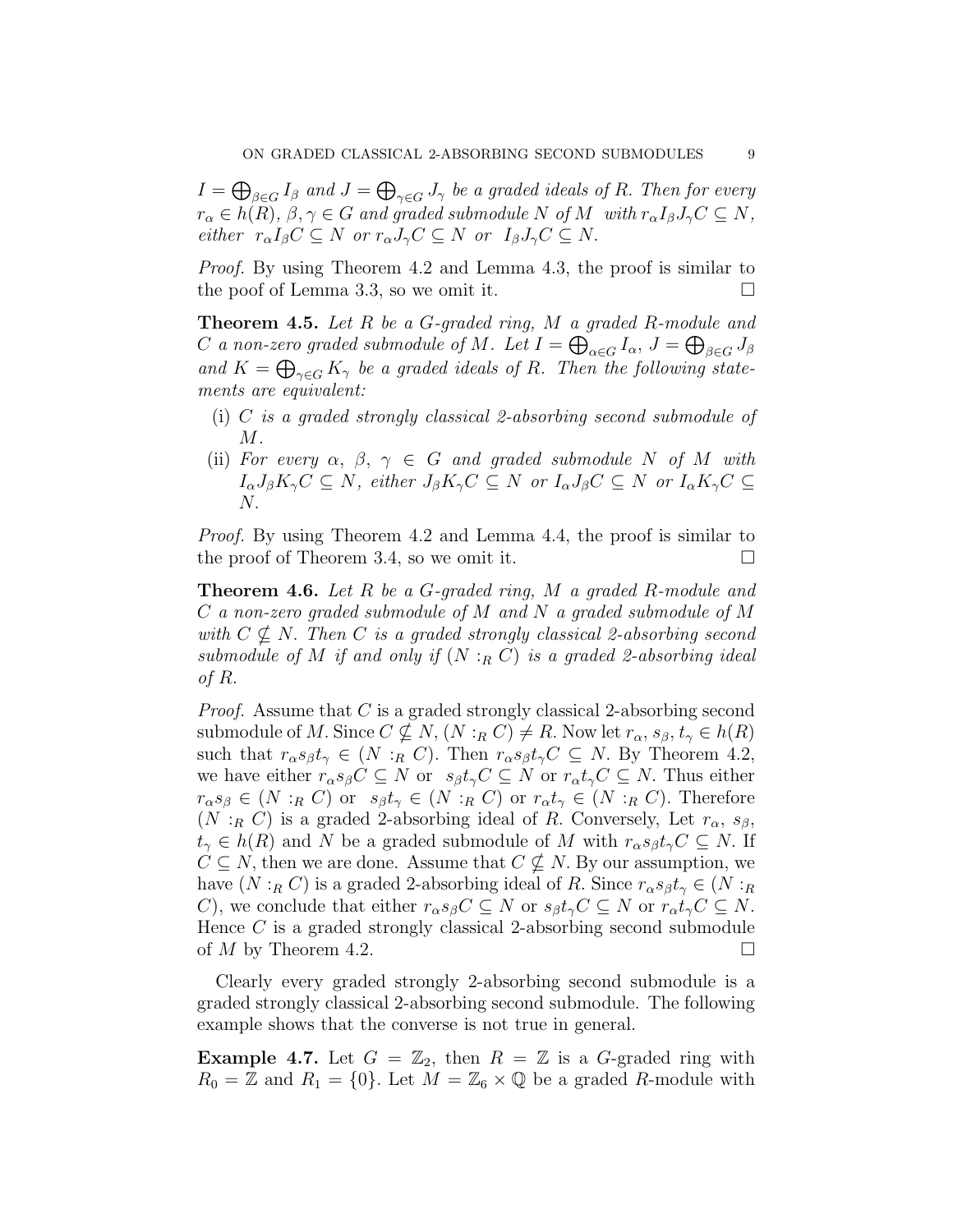$I=\bigoplus_{\beta\in G}I_\beta$  and  $J=\bigoplus_{\gamma\in G}J_\gamma$  be a graded ideals of  $R.$  Then for every  $r_{\alpha} \in h(R), \beta, \gamma \in G$  *and graded submodule* N *of* M *with*  $r_{\alpha}I_{\beta}J_{\gamma}C \subseteq N$ , *either*  $r_{\alpha}I_{\beta}C \subseteq N$  *or*  $r_{\alpha}J_{\gamma}C \subseteq N$  *or*  $I_{\beta}J_{\gamma}C \subseteq N$ .

*Proof.* By using Theorem 4.2 and Lemma 4.3, the proof is similar to the poof of Lemma 3.3, so we omit it.  $\Box$ 

Theorem 4.5. *Let* R *be a* G*-graded ring,* M *a graded* R*-module and* C a non-zero graded submodule of M . Let  $I = \bigoplus_{\alpha \in G} I_\alpha$ ,  $J = \bigoplus_{\beta \in G} J_\beta$ and  $K = \bigoplus_{\gamma \in G} K_{\gamma}$  *be a graded ideals of R. Then the following statements are equivalent:*

- (i) C *is a graded strongly classical 2-absorbing second submodule of* M*.*
- (ii) *For every*  $\alpha$ ,  $\beta$ ,  $\gamma \in G$  *and graded submodule* N *of* M *with*  $I_{\alpha}J_{\beta}K_{\gamma}C \subseteq N$ , either  $J_{\beta}K_{\gamma}C \subseteq N$  or  $I_{\alpha}J_{\beta}C \subseteq N$  or  $I_{\alpha}K_{\gamma}C \subseteq N$ N.

*Proof.* By using Theorem 4.2 and Lemma 4.4, the proof is similar to the proof of Theorem 3.4, so we omit it.  $\square$ 

Theorem 4.6. *Let* R *be a* G*-graded ring,* M *a graded* R*-module and* C *a non-zero graded submodule of* M *and* N *a graded submodule of* M *with*  $C \nsubseteq N$ . *Then* C *is a graded strongly classical 2-absorbing second submodule of*  $M$  *if and only if*  $(N :_R C)$  *is a graded 2-absorbing ideal of* R.

*Proof.* Assume that C is a graded strongly classical 2-absorbing second submodule of M. Since  $C \nsubseteq N$ ,  $(N :_R C) \neq R$ . Now let  $r_{\alpha}, s_{\beta}, t_{\gamma} \in h(R)$ such that  $r_{\alpha} s_{\beta} t_{\gamma} \in (N :_{R} C)$ . Then  $r_{\alpha} s_{\beta} t_{\gamma} C \subseteq N$ . By Theorem 4.2, we have either  $r_{\alpha}s_{\beta}C \subseteq N$  or  $s_{\beta}t_{\gamma}C \subseteq N$  or  $r_{\alpha}t_{\gamma}C \subseteq N$ . Thus either  $r_{\alpha}s_{\beta} \in (N :_{R} C)$  or  $s_{\beta}t_{\gamma} \in (N :_{R} C)$  or  $r_{\alpha}t_{\gamma} \in (N :_{R} C)$ . Therefore (N : $_R$  C) is a graded 2-absorbing ideal of R. Conversely, Let  $r_{\alpha}$ ,  $s_{\beta}$ ,  $t_{\gamma} \in h(R)$  and N be a graded submodule of M with  $r_{\alpha} s_{\beta} t_{\gamma} C \subseteq N$ . If  $C \subseteq N$ , then we are done. Assume that  $C \nsubseteq N$ . By our assumption, we have  $(N :_R C)$  is a graded 2-absorbing ideal of R. Since  $r_{\alpha} s_{\beta} t_{\gamma} \in (N :_R C)$ C), we conclude that either  $r_{\alpha}s_{\beta}C \subseteq N$  or  $s_{\beta}t_{\gamma}C \subseteq N$  or  $r_{\alpha}t_{\gamma}C \subseteq N$ . Hence C is a graded strongly classical 2-absorbing second submodule of M by Theorem 4.2.

Clearly every graded strongly 2-absorbing second submodule is a graded strongly classical 2-absorbing second submodule. The following example shows that the converse is not true in general.

**Example 4.7.** Let  $G = \mathbb{Z}_2$ , then  $R = \mathbb{Z}$  is a G-graded ring with  $R_0 = \mathbb{Z}$  and  $R_1 = \{0\}$ . Let  $M = \mathbb{Z}_6 \times \mathbb{Q}$  be a graded R-module with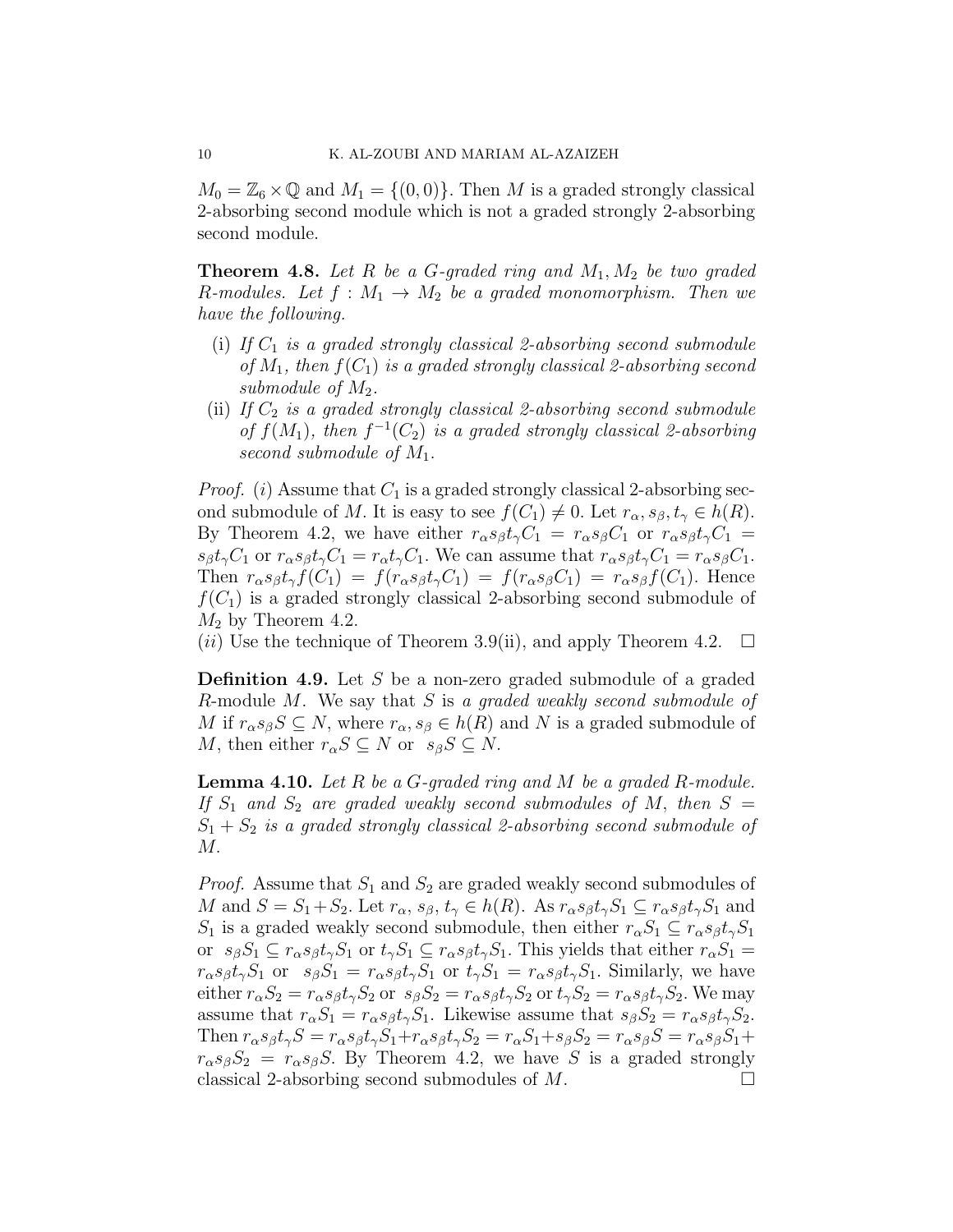$M_0 = \mathbb{Z}_6 \times \mathbb{Q}$  and  $M_1 = \{(0, 0)\}\.$  Then M is a graded strongly classical 2-absorbing second module which is not a graded strongly 2-absorbing second module.

Theorem 4.8. *Let* R *be a* G*-graded ring and* M1, M<sup>2</sup> *be two graded* R-modules. Let  $f : M_1 \to M_2$  be a graded monomorphism. Then we *have the following.*

- (i) If  $C_1$  *is a graded strongly classical 2-absorbing second submodule of*  $M_1$ , then  $f(C_1)$  *is a graded strongly classical 2-absorbing second submodule of* M2*.*
- (ii) If  $C_2$  *is a graded strongly classical 2-absorbing second submodule* of  $f(M_1)$ , then  $f^{-1}(C_2)$  is a graded strongly classical 2-absorbing *second submodule of* M1.

*Proof.* (i) Assume that  $C_1$  is a graded strongly classical 2-absorbing second submodule of M. It is easy to see  $f(C_1) \neq 0$ . Let  $r_{\alpha}, s_{\beta}, t_{\gamma} \in h(R)$ . By Theorem 4.2, we have either  $r_{\alpha}s_{\beta}t_{\gamma}C_1 = r_{\alpha}s_{\beta}C_1$  or  $r_{\alpha}s_{\beta}t_{\gamma}C_1 =$  $s_{\beta}t_{\gamma}C_1$  or  $r_{\alpha}s_{\beta}t_{\gamma}C_1 = r_{\alpha}t_{\gamma}C_1$ . We can assume that  $r_{\alpha}s_{\beta}t_{\gamma}C_1 = r_{\alpha}s_{\beta}C_1$ . Then  $r_{\alpha}s_{\beta}t_{\gamma}f(C_1) = f(r_{\alpha}s_{\beta}t_{\gamma}C_1) = f(r_{\alpha}s_{\beta}C_1) = r_{\alpha}s_{\beta}f(C_1)$ . Hence  $f(C_1)$  is a graded strongly classical 2-absorbing second submodule of  $M_2$  by Theorem 4.2.

(*ii*) Use the technique of Theorem 3.9(ii), and apply Theorem 4.2.  $\Box$ 

**Definition 4.9.** Let  $S$  be a non-zero graded submodule of a graded R-module M. We say that S is *a graded weakly second submodule of* M if  $r_{\alpha}s_{\beta}S \subseteq N$ , where  $r_{\alpha}, s_{\beta} \in h(R)$  and N is a graded submodule of M, then either  $r_{\alpha}S \subseteq N$  or  $s_{\beta}S \subseteq N$ .

Lemma 4.10. *Let* R *be a* G*-graded ring and* M *be a graded* R*-module.* If  $S_1$  and  $S_2$  are graded weakly second submodules of M, then  $S =$  $S_1 + S_2$  *is a graded strongly classical 2-absorbing second submodule of* M.

*Proof.* Assume that  $S_1$  and  $S_2$  are graded weakly second submodules of M and  $S = S_1 + S_2$ . Let  $r_{\alpha}$ ,  $s_{\beta}$ ,  $t_{\gamma} \in h(R)$ . As  $r_{\alpha} s_{\beta} t_{\gamma} S_1 \subseteq r_{\alpha} s_{\beta} t_{\gamma} S_1$  and  $S_1$  is a graded weakly second submodule, then either  $r_{\alpha}S_1 \subseteq r_{\alpha} s_{\beta} t_{\gamma} S_1$ or  $s_{\beta}S_1 \subseteq r_{\alpha}s_{\beta}t_{\gamma}S_1$  or  $t_{\gamma}S_1 \subseteq r_{\alpha}s_{\beta}t_{\gamma}S_1$ . This yields that either  $r_{\alpha}S_1 =$  $r_{\alpha}s_{\beta}t_{\gamma}S_1$  or  $s_{\beta}S_1 = r_{\alpha}s_{\beta}t_{\gamma}S_1$  or  $t_{\gamma}S_1 = r_{\alpha}s_{\beta}t_{\gamma}S_1$ . Similarly, we have either  $r_{\alpha}S_2 = r_{\alpha}s_{\beta}t_{\gamma}S_2$  or  $s_{\beta}S_2 = r_{\alpha}s_{\beta}t_{\gamma}S_2$  or  $t_{\gamma}S_2 = r_{\alpha}s_{\beta}t_{\gamma}S_2$ . We may assume that  $r_{\alpha}S_1 = r_{\alpha}s_{\beta}t_{\gamma}S_1$ . Likewise assume that  $s_{\beta}S_2 = r_{\alpha}s_{\beta}t_{\gamma}S_2$ . Then  $r_{\alpha} s_{\beta} t_{\gamma} S = r_{\alpha} s_{\beta} t_{\gamma} S_1 + r_{\alpha} s_{\beta} t_{\gamma} S_2 = r_{\alpha} S_1 + s_{\beta} S_2 = r_{\alpha} s_{\beta} S = r_{\alpha} s_{\beta} S_1 +$  $r_{\alpha}s_{\beta}S_2 = r_{\alpha}s_{\beta}S$ . By Theorem 4.2, we have S is a graded strongly classical 2-absorbing second submodules of  $M$ .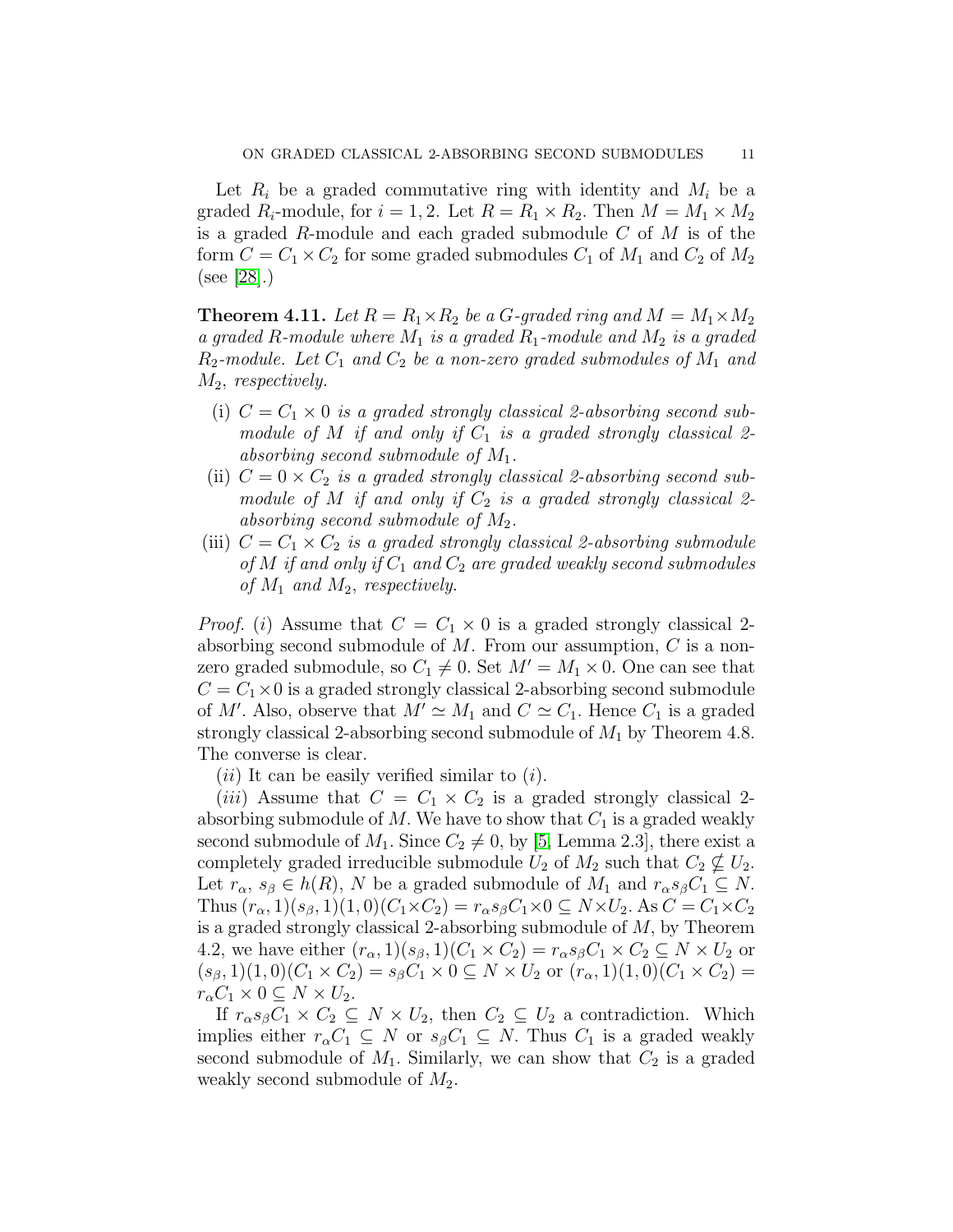Let  $R_i$  be a graded commutative ring with identity and  $M_i$  be a graded  $R_i$ -module, for  $i = 1, 2$ . Let  $R = R_1 \times R_2$ . Then  $M = M_1 \times M_2$ is a graded  $R$ -module and each graded submodule  $C$  of  $M$  is of the form  $C = C_1 \times C_2$  for some graded submodules  $C_1$  of  $M_1$  and  $C_2$  of  $M_2$ (see [\[28\]](#page-12-12).)

**Theorem 4.11.** Let  $R = R_1 \times R_2$  be a G-graded ring and  $M = M_1 \times M_2$ *a graded* R*-module where* M<sup>1</sup> *is a graded* R1*-module and* M<sup>2</sup> *is a graded*  $R_2$ -module. Let  $C_1$  and  $C_2$  be a non-zero graded submodules of  $M_1$  and M2, *respectively.*

- (i)  $C = C_1 \times 0$  *is a graded strongly classical 2-absorbing second submodule of*  $M$  *if and only if*  $C_1$  *is a graded strongly classical* 2*absorbing second submodule of* M1*.*
- (ii)  $C = 0 \times C_2$  *is a graded strongly classical 2-absorbing second submodule of*  $M$  *if and only if*  $C_2$  *is a graded strongly classical* 2*absorbing second submodule of* M2*.*
- (iii)  $C = C_1 \times C_2$  *is a graded strongly classical 2-absorbing submodule of*  $M$  *if and only if*  $C_1$  *and*  $C_2$  *are graded weakly second submodules of* M<sup>1</sup> *and* M2, *respectively.*

*Proof.* (i) Assume that  $C = C_1 \times 0$  is a graded strongly classical 2absorbing second submodule of  $M$ . From our assumption,  $C$  is a nonzero graded submodule, so  $C_1 \neq 0$ . Set  $M' = M_1 \times 0$ . One can see that  $C = C_1 \times 0$  is a graded strongly classical 2-absorbing second submodule of M'. Also, observe that  $M' \simeq M_1$  and  $C \simeq C_1$ . Hence  $C_1$  is a graded strongly classical 2-absorbing second submodule of  $M_1$  by Theorem 4.8. The converse is clear.

 $(ii)$  It can be easily verified similar to  $(i)$ .

(*iii*) Assume that  $C = C_1 \times C_2$  is a graded strongly classical 2absorbing submodule of  $M$ . We have to show that  $C_1$  is a graded weakly second submodule of  $M_1$ . Since  $C_2 \neq 0$ , by [\[5,](#page-11-14) Lemma 2.3], there exist a completely graded irreducible submodule  $U_2$  of  $M_2$  such that  $C_2 \nsubseteq U_2$ . Let  $r_{\alpha}, s_{\beta} \in h(R)$ , N be a graded submodule of  $M_1$  and  $r_{\alpha}s_{\beta}C_1 \subseteq N$ . Thus  $(r_{\alpha}, 1)(s_{\beta}, 1)(1, 0)(C_1 \times C_2) = r_{\alpha} s_{\beta} C_1 \times 0 \subseteq N \times U_2$ . As  $C = C_1 \times C_2$ is a graded strongly classical 2-absorbing submodule of M, by Theorem 4.2, we have either  $(r_{\alpha}, 1)(s_{\beta}, 1)(C_1 \times C_2) = r_{\alpha}s_{\beta}C_1 \times C_2 \subseteq N \times U_2$  or  $(s_{\beta}, 1)(1, 0)(C_1 \times C_2) = s_{\beta}C_1 \times 0 \subseteq N \times U_2$  or  $(r_{\alpha}, 1)(1, 0)(C_1 \times C_2) =$  $r_{\alpha}C_1 \times 0 \subseteq N \times U_2$ .

If  $r_{\alpha}s_{\beta}C_1 \times C_2 \subseteq N \times U_2$ , then  $C_2 \subseteq U_2$  a contradiction. Which implies either  $r_{\alpha}C_1 \subseteq N$  or  $s_{\beta}C_1 \subseteq N$ . Thus  $C_1$  is a graded weakly second submodule of  $M_1$ . Similarly, we can show that  $C_2$  is a graded weakly second submodule of  $M_2$ .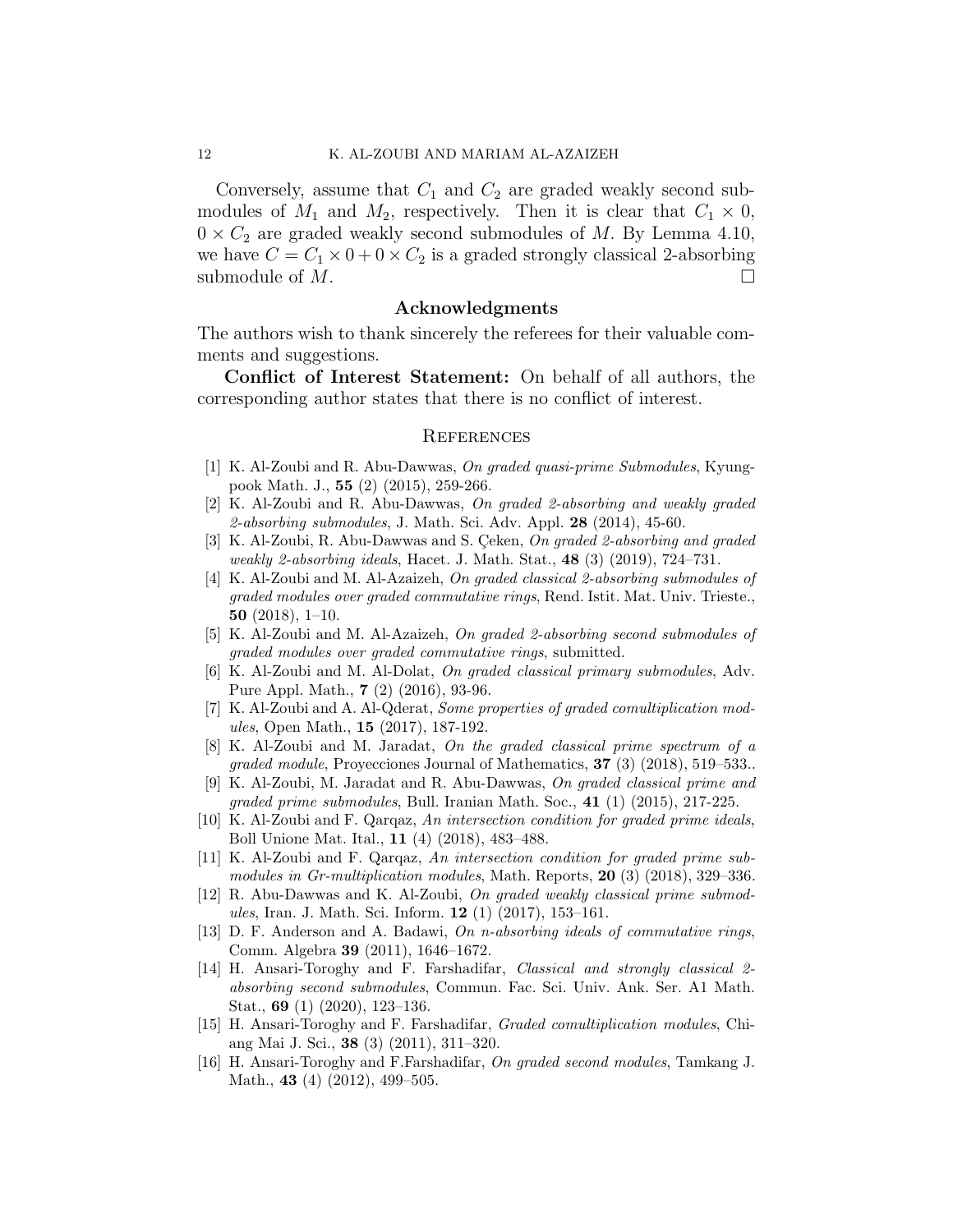Conversely, assume that  $C_1$  and  $C_2$  are graded weakly second submodules of  $M_1$  and  $M_2$ , respectively. Then it is clear that  $C_1 \times 0$ ,  $0 \times C_2$  are graded weakly second submodules of M. By Lemma 4.10, we have  $C = C_1 \times 0 + 0 \times C_2$  is a graded strongly classical 2-absorbing submodule of  $M$ .

### Acknowledgments

The authors wish to thank sincerely the referees for their valuable comments and suggestions.

Conflict of Interest Statement: On behalf of all authors, the corresponding author states that there is no conflict of interest.

#### **REFERENCES**

- <span id="page-11-2"></span>[1] K. Al-Zoubi and R. Abu-Dawwas, On graded quasi-prime Submodules, Kyungpook Math. J., 55 (2) (2015), 259-266.
- <span id="page-11-6"></span>[2] K. Al-Zoubi and R. Abu-Dawwas, On graded 2-absorbing and weakly graded 2-absorbing submodules, J. Math. Sci. Adv. Appl. 28 (2014), 45-60.
- <span id="page-11-5"></span>[3] K. Al-Zoubi, R. Abu-Dawwas and S. Ceken, On graded 2-absorbing and graded weakly 2-absorbing ideals, Hacet. J. Math. Stat., 48 (3) (2019), 724–731.
- <span id="page-11-13"></span>[4] K. Al-Zoubi and M. Al-Azaizeh, On graded classical 2-absorbing submodules of graded modules over graded commutative rings, Rend. Istit. Mat. Univ. Trieste., 50 (2018), 1–10.
- <span id="page-11-14"></span><span id="page-11-7"></span>[5] K. Al-Zoubi and M. Al-Azaizeh, On graded 2-absorbing second submodules of graded modules over graded commutative rings, submitted.
- [6] K. Al-Zoubi and M. Al-Dolat, On graded classical primary submodules, Adv. Pure Appl. Math., 7 (2) (2016), 93-96.
- <span id="page-11-11"></span>[7] K. Al-Zoubi and A. Al-Qderat, Some properties of graded comultiplication modules, Open Math., 15 (2017), 187-192.
- <span id="page-11-8"></span>[8] K. Al-Zoubi and M. Jaradat, On the graded classical prime spectrum of a graded module, Proyecciones Journal of Mathematics, 37 (3) (2018), 519–533..
- <span id="page-11-3"></span>K. Al-Zoubi, M. Jaradat and R. Abu-Dawwas, On graded classical prime and graded prime submodules, Bull. Iranian Math. Soc.,  $41$  (1) (2015), 217-225.
- [10] K. Al-Zoubi and F. Qarqaz, An intersection condition for graded prime ideals, Boll Unione Mat. Ital., 11 (4) (2018), 483–488.
- <span id="page-11-4"></span>[11] K. Al-Zoubi and F. Qarqaz, An intersection condition for graded prime submodules in Gr-multiplication modules, Math. Reports, 20 (3) (2018), 329-336.
- <span id="page-11-9"></span>[12] R. Abu-Dawwas and K. Al-Zoubi, On graded weakly classical prime submodules, Iran. J. Math. Sci. Inform. 12 (1) (2017), 153–161.
- <span id="page-11-0"></span>[13] D. F. Anderson and A. Badawi, On n-absorbing ideals of commutative rings, Comm. Algebra 39 (2011), 1646–1672.
- <span id="page-11-1"></span>[14] H. Ansari-Toroghy and F. Farshadifar, Classical and strongly classical 2 absorbing second submodules, Commun. Fac. Sci. Univ. Ank. Ser. A1 Math. Stat., 69 (1) (2020), 123–136.
- <span id="page-11-10"></span>[15] H. Ansari-Toroghy and F. Farshadifar, Graded comultiplication modules, Chiang Mai J. Sci., 38 (3) (2011), 311–320.
- <span id="page-11-12"></span>[16] H. Ansari-Toroghy and F.Farshadifar, On graded second modules, Tamkang J. Math., **43** (4) (2012), 499–505.